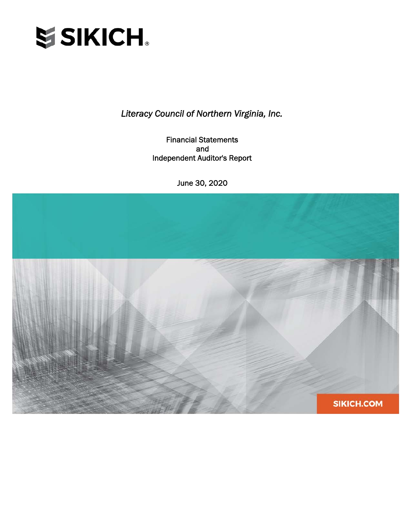

Financial Statements and Independent Auditor's Report

June 30, 2020

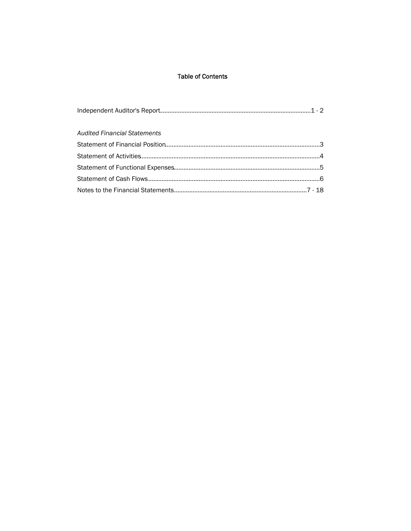# **Table of Contents**

| <b>Audited Financial Statements</b> |  |
|-------------------------------------|--|
|                                     |  |
|                                     |  |
|                                     |  |
|                                     |  |
|                                     |  |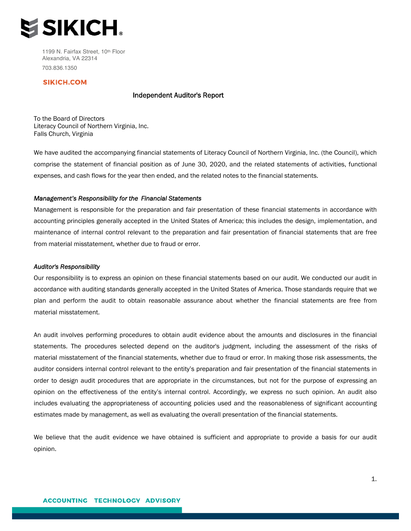

1199 N. Fairfax Street, 10th Floor Alexandria, VA 22314 703.836.1350

### SIKICH.COM

### Independent Auditor's Report

To the Board of Directors Literacy Council of Northern Virginia, Inc. Falls Church, Virginia

We have audited the accompanying financial statements of Literacy Council of Northern Virginia, Inc. (the Council), which comprise the statement of financial position as of June 30, 2020, and the related statements of activities, functional expenses, and cash flows for the year then ended, and the related notes to the financial statements.

#### *Management's Responsibility for the Financial Statements*

Management is responsible for the preparation and fair presentation of these financial statements in accordance with accounting principles generally accepted in the United States of America; this includes the design, implementation, and maintenance of internal control relevant to the preparation and fair presentation of financial statements that are free from material misstatement, whether due to fraud or error.

#### *Auditor's Responsibility*

Our responsibility is to express an opinion on these financial statements based on our audit. We conducted our audit in accordance with auditing standards generally accepted in the United States of America. Those standards require that we plan and perform the audit to obtain reasonable assurance about whether the financial statements are free from material misstatement.

An audit involves performing procedures to obtain audit evidence about the amounts and disclosures in the financial statements. The procedures selected depend on the auditor's judgment, including the assessment of the risks of material misstatement of the financial statements, whether due to fraud or error. In making those risk assessments, the auditor considers internal control relevant to the entity's preparation and fair presentation of the financial statements in order to design audit procedures that are appropriate in the circumstances, but not for the purpose of expressing an opinion on the effectiveness of the entity's internal control. Accordingly, we express no such opinion. An audit also includes evaluating the appropriateness of accounting policies used and the reasonableness of significant accounting estimates made by management, as well as evaluating the overall presentation of the financial statements.

We believe that the audit evidence we have obtained is sufficient and appropriate to provide a basis for our audit opinion.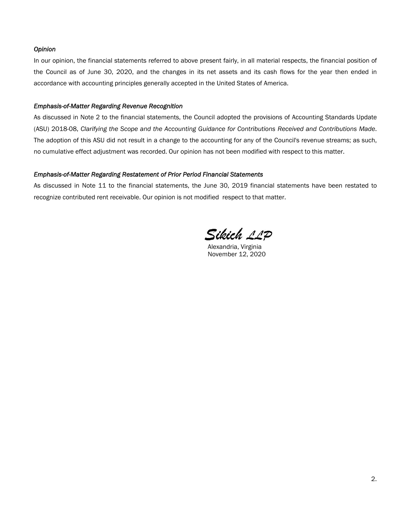# *Opinion*

In our opinion, the financial statements referred to above present fairly, in all material respects, the financial position of the Council as of June 30, 2020, and the changes in its net assets and its cash flows for the year then ended in accordance with accounting principles generally accepted in the United States of America.

#### *Emphasis-of-Matter Regarding Revenue Recognition*

As discussed in Note 2 to the financial statements, the Council adopted the provisions of Accounting Standards Update (ASU) 2018-08, *Clarifying the Scope and the Accounting Guidance for Contributions Received and Contributions Made*. The adoption of this ASU did not result in a change to the accounting for any of the Council's revenue streams; as such, no cumulative effect adjustment was recorded. Our opinion has not been modified with respect to this matter.

## *Emphasis-of-Matter Regarding Restatement of Prior Period Financial Statements*

As discussed in Note 11 to the financial statements, the June 30, 2019 financial statements have been restated to recognize contributed rent receivable. Our opinion is not modified respect to that matter.

Sikich 11P

Alexandria, Virginia November 12, 2020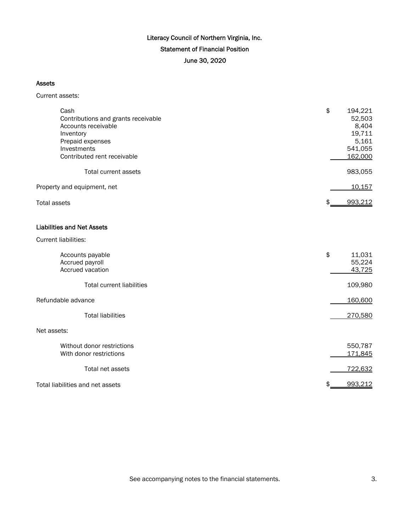# Literacy Council of Northern Virginia, Inc. Statement of Financial Position June 30, 2020

### Assets

Current assets:

| Cash<br>Contributions and grants receivable<br>Accounts receivable<br>Inventory<br>Prepaid expenses<br>Investments<br>Contributed rent receivable<br>Total current assets | \$<br>194,221<br>52,503<br>8,404<br>19,711<br>5,161<br>541,055<br>162,000<br>983,055 |
|---------------------------------------------------------------------------------------------------------------------------------------------------------------------------|--------------------------------------------------------------------------------------|
|                                                                                                                                                                           |                                                                                      |
| Property and equipment, net                                                                                                                                               | 10,157                                                                               |
| <b>Total assets</b>                                                                                                                                                       | 993,212<br>\$                                                                        |
| <b>Liabilities and Net Assets</b>                                                                                                                                         |                                                                                      |
| <b>Current liabilities:</b>                                                                                                                                               |                                                                                      |
| Accounts payable<br>Accrued payroll<br>Accrued vacation                                                                                                                   | \$<br>11,031<br>55,224<br>43,725                                                     |
| <b>Total current liabilities</b>                                                                                                                                          | 109,980                                                                              |
| Refundable advance                                                                                                                                                        | 160,600                                                                              |
| <b>Total liabilities</b>                                                                                                                                                  | 270,580                                                                              |
| Net assets:                                                                                                                                                               |                                                                                      |
| Without donor restrictions<br>With donor restrictions                                                                                                                     | 550,787<br>171,845                                                                   |
| Total net assets                                                                                                                                                          | 722,632                                                                              |
| Total liabilities and net assets                                                                                                                                          | 993,212<br>\$                                                                        |

See accompanying notes to the financial statements. See accompanying notes to the financial statements.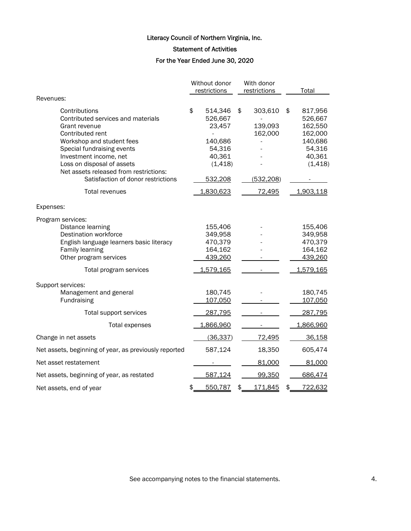Statement of Activities

For the Year Ended June 30, 2020

|                                                                                                                                                                                                                                                                                             | Without donor<br>restrictions                                                            | With donor<br>restrictions                        | Total                                                                                     |
|---------------------------------------------------------------------------------------------------------------------------------------------------------------------------------------------------------------------------------------------------------------------------------------------|------------------------------------------------------------------------------------------|---------------------------------------------------|-------------------------------------------------------------------------------------------|
| Revenues:                                                                                                                                                                                                                                                                                   |                                                                                          |                                                   |                                                                                           |
| Contributions<br>Contributed services and materials<br>Grant revenue<br>Contributed rent<br>Workshop and student fees<br>Special fundraising events<br>Investment income, net<br>Loss on disposal of assets<br>Net assets released from restrictions:<br>Satisfaction of donor restrictions | \$<br>514,346<br>526,667<br>23,457<br>140,686<br>54,316<br>40,361<br>(1, 418)<br>532,208 | \$<br>303,610<br>139,093<br>162,000<br>(532, 208) | \$<br>817,956<br>526,667<br>162,550<br>162,000<br>140,686<br>54,316<br>40,361<br>(1, 418) |
| Total revenues                                                                                                                                                                                                                                                                              | 1,830,623                                                                                | 72,495                                            | 1,903,118                                                                                 |
|                                                                                                                                                                                                                                                                                             |                                                                                          |                                                   |                                                                                           |
| Expenses:                                                                                                                                                                                                                                                                                   |                                                                                          |                                                   |                                                                                           |
| Program services:<br>Distance learning<br>Destination workforce<br>English language learners basic literacy<br>Family learning<br>Other program services<br>Total program services                                                                                                          | 155,406<br>349,958<br>470,379<br>164,162<br>439,260<br>1,579,165                         |                                                   | 155,406<br>349,958<br>470,379<br>164,162<br>439,260<br>1,579,165                          |
| Support services:<br>Management and general<br>Fundraising                                                                                                                                                                                                                                  | 180,745<br>107,050                                                                       |                                                   | 180,745<br>107,050                                                                        |
| Total support services                                                                                                                                                                                                                                                                      | 287,795                                                                                  |                                                   | 287,795                                                                                   |
| <b>Total expenses</b>                                                                                                                                                                                                                                                                       | 1,866,960                                                                                |                                                   | 1,866,960                                                                                 |
| Change in net assets                                                                                                                                                                                                                                                                        | (36, 337)                                                                                | 72,495                                            | 36,158                                                                                    |
| Net assets, beginning of year, as previously reported                                                                                                                                                                                                                                       | 587,124                                                                                  | 18,350                                            | 605,474                                                                                   |
| Net asset restatement                                                                                                                                                                                                                                                                       |                                                                                          | 81,000                                            | 81,000                                                                                    |
| Net assets, beginning of year, as restated                                                                                                                                                                                                                                                  | 587,124                                                                                  | 99,350                                            | 686,474                                                                                   |
| Net assets, end of year                                                                                                                                                                                                                                                                     | 550,787<br>\$                                                                            | 171,845<br>\$                                     | \$<br>722,632                                                                             |

See accompanying notes to the financial statements. 4.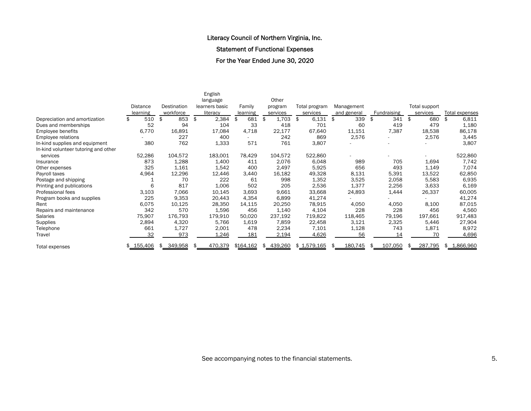Statement of Functional Expenses

For the Year Ended June 30, 2020

|                                      |                 |               | English        |           |           |               |                |                    |               |                       |
|--------------------------------------|-----------------|---------------|----------------|-----------|-----------|---------------|----------------|--------------------|---------------|-----------------------|
|                                      |                 |               | language       |           | Other     |               |                |                    |               |                       |
|                                      | <b>Distance</b> | Destination   | learners basic | Family    | program   | Total program | Management     |                    | Total support |                       |
|                                      | learning        | workforce     | literacy       | learning  | services  | services      | and general    | <b>Fundraising</b> | services      | <b>Total expenses</b> |
| Depreciation and amortization        | 510             | 853<br>\$     | \$<br>2,384    | 681       | 1,703     | 6,131<br>\$   | 339<br>\$      | 341                | 680<br>\$     | 6,811<br>\$           |
| Dues and memberships                 | 52              | 94            | 104            | 33        | 418       | 701           | 60             | 419                | 479           | 1,180                 |
| Employee benefits                    | 6,770           | 16,891        | 17,084         | 4,718     | 22,177    | 67,640        | 11,151         | 7,387              | 18,538        | 86,178                |
| Employee relations                   |                 | 227           | 400            |           | 242       | 869           | 2,576          |                    | 2,576         | 3,445                 |
| In-kind supplies and equipment       | 380             | 762           | 1,333          | 571       | 761       | 3,807         |                |                    |               | 3,807                 |
| In-kind volunteer tutoring and other |                 |               |                |           |           |               |                |                    |               |                       |
| services                             | 52,286          | 104,572       | 183,001        | 78,429    | 104,572   | 522,860       |                |                    |               | 522,860               |
| Insurance                            | 873             | 1,288         | 1,400          | 411       | 2,076     | 6,048         | 989            | 705                | 1,694         | 7,742                 |
| Other expenses                       | 325             | 1,161         | 1,542          | 400       | 2,497     | 5,925         | 656            | 493                | 1,149         | 7,074                 |
| Payroll taxes                        | 4,964           | 12,296        | 12,446         | 3,440     | 16,182    | 49,328        | 8,131          | 5,391              | 13,522        | 62,850                |
| Postage and shipping                 |                 | 70            | 222            | 61        | 998       | 1,352         | 3,525          | 2,058              | 5,583         | 6,935                 |
| Printing and publications            | 6               | 817           | 1,006          | 502       | 205       | 2,536         | 1,377          | 2,256              | 3,633         | 6,169                 |
| Professional fees                    | 3,103           | 7,066         | 10,145         | 3,693     | 9,661     | 33,668        | 24,893         | 1,444              | 26,337        | 60,005                |
| Program books and supplies           | 225             | 9,353         | 20,443         | 4,354     | 6,899     | 41,274        |                |                    |               | 41,274                |
| Rent                                 | 6,075           | 10,125        | 28,350         | 14,115    | 20,250    | 78,915        | 4,050          | 4,050              | 8,100         | 87,015                |
| Repairs and maintenance              | 342             | 570           | 1,596          | 456       | 1,140     | 4,104         | 228            | 228                | 456           | 4,560                 |
| Salaries                             | 75,907          | 176,793       | 179,910        | 50,020    | 237,192   | 719,822       | 118,465        | 79,196             | 197,661       | 917,483               |
| Supplies                             | 2,894           | 4,320         | 5,766          | 1,619     | 7,859     | 22,458        | 3,121          | 2,325              | 5,446         | 27,904                |
| Telephone                            | 661             | 1,727         | 2,001          | 478       | 2,234     | 7,101         | 1,128          | 743                | 1,871         | 8,972                 |
| Travel                               | 32              | 973           | 1,246          | 181       | 2,194     | 4,626         | 56             | 14                 | 70            | 4,696                 |
| Total expenses                       | \$155,406       | 349,958<br>\$ | 470,379<br>Я   | \$164,162 | \$439,260 | \$ 1,579,165  | 180,745<br>\$. | 107,050<br>\$      | 287,795<br>\$ | \$1,866,960           |

See accompanying notes to the financial statements. The second statements of  $5.$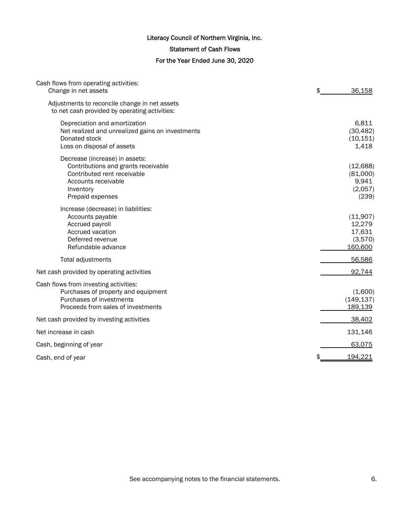# Statement of Cash Flows

# For the Year Ended June 30, 2020

| Cash flows from operating activities:<br>Change in net assets                                                                                                | \$<br>36,158                                       |
|--------------------------------------------------------------------------------------------------------------------------------------------------------------|----------------------------------------------------|
| Adjustments to reconcile change in net assets<br>to net cash provided by operating activities:                                                               |                                                    |
| Depreciation and amortization<br>Net realized and unrealized gains on investments<br>Donated stock<br>Loss on disposal of assets                             | 6,811<br>(30, 482)<br>(10, 151)<br>1,418           |
| Decrease (increase) in assets:<br>Contributions and grants receivable<br>Contributed rent receivable<br>Accounts receivable<br>Inventory<br>Prepaid expenses | (12, 688)<br>(81,000)<br>9,941<br>(2,057)<br>(239) |
| Increase (decrease) in liabilities:<br>Accounts payable<br>Accrued payroll<br>Accrued vacation<br>Deferred revenue<br>Refundable advance                     | (11,907)<br>12,279<br>17,631<br>(3,570)<br>160,600 |
| Total adjustments                                                                                                                                            | 56,586                                             |
| Net cash provided by operating activities                                                                                                                    | 92,744                                             |
| Cash flows from investing activities:<br>Purchases of property and equipment<br>Purchases of investments<br>Proceeds from sales of investments               | (1,600)<br>(149, 137)<br>189,139                   |
| Net cash provided by investing activities                                                                                                                    | 38,402                                             |
| Net increase in cash                                                                                                                                         | 131,146                                            |
| Cash, beginning of year                                                                                                                                      | 63,075                                             |
| Cash, end of year                                                                                                                                            | 194,221                                            |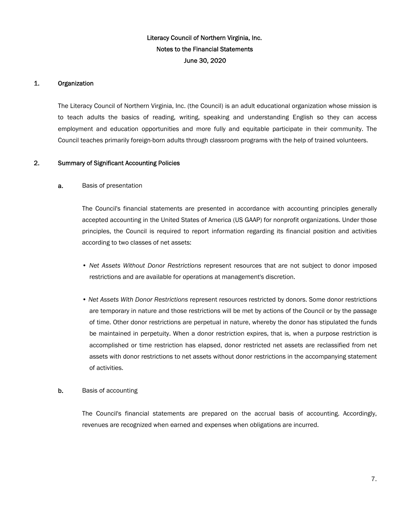# 1. Organization

The Literacy Council of Northern Virginia, Inc. (the Council) is an adult educational organization whose mission is to teach adults the basics of reading, writing, speaking and understanding English so they can access employment and education opportunities and more fully and equitable participate in their community. The Council teaches primarily foreign-born adults through classroom programs with the help of trained volunteers.

# 2. Summary of Significant Accounting Policies

# a. Basis of presentation

The Council's financial statements are presented in accordance with accounting principles generally accepted accounting in the United States of America (US GAAP) for nonprofit organizations. Under those principles, the Council is required to report information regarding its financial position and activities according to two classes of net assets:

- *Net Assets Without Donor Restrictions* represent resources that are not subject to donor imposed restrictions and are available for operations at management's discretion.
- *Net Assets With Donor Restrictions* represent resources restricted by donors. Some donor restrictions are temporary in nature and those restrictions will be met by actions of the Council or by the passage of time. Other donor restrictions are perpetual in nature, whereby the donor has stipulated the funds be maintained in perpetuity. When a donor restriction expires, that is, when a purpose restriction is accomplished or time restriction has elapsed, donor restricted net assets are reclassified from net assets with donor restrictions to net assets without donor restrictions in the accompanying statement of activities.

# **b.** Basis of accounting

The Council's financial statements are prepared on the accrual basis of accounting. Accordingly, revenues are recognized when earned and expenses when obligations are incurred.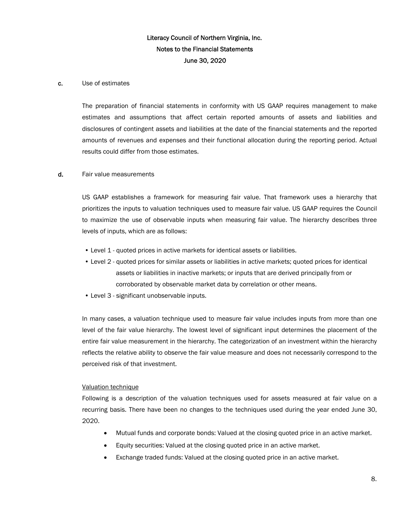### c. Use of estimates

The preparation of financial statements in conformity with US GAAP requires management to make estimates and assumptions that affect certain reported amounts of assets and liabilities and disclosures of contingent assets and liabilities at the date of the financial statements and the reported amounts of revenues and expenses and their functional allocation during the reporting period. Actual results could differ from those estimates.

### d. Fair value measurements

US GAAP establishes a framework for measuring fair value. That framework uses a hierarchy that prioritizes the inputs to valuation techniques used to measure fair value. US GAAP requires the Council to maximize the use of observable inputs when measuring fair value. The hierarchy describes three levels of inputs, which are as follows:

- Level 1 quoted prices in active markets for identical assets or liabilities.
- Level 2 quoted prices for similar assets or liabilities in active markets; quoted prices for identical assets or liabilities in inactive markets; or inputs that are derived principally from or corroborated by observable market data by correlation or other means.
- Level 3 significant unobservable inputs.

In many cases, a valuation technique used to measure fair value includes inputs from more than one level of the fair value hierarchy. The lowest level of significant input determines the placement of the entire fair value measurement in the hierarchy. The categorization of an investment within the hierarchy reflects the relative ability to observe the fair value measure and does not necessarily correspond to the perceived risk of that investment.

#### Valuation technique

Following is a description of the valuation techniques used for assets measured at fair value on a recurring basis. There have been no changes to the techniques used during the year ended June 30, 2020.

- Mutual funds and corporate bonds: Valued at the closing quoted price in an active market.
- Equity securities: Valued at the closing quoted price in an active market.
- Exchange traded funds: Valued at the closing quoted price in an active market.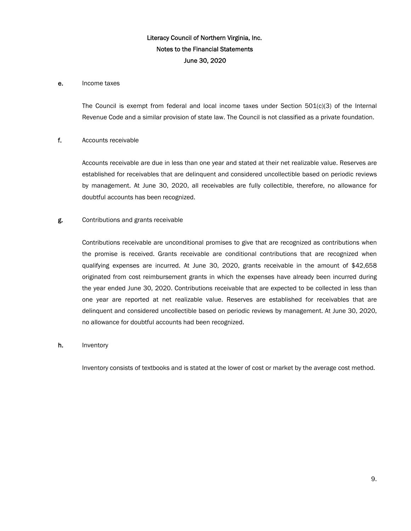### e. Income taxes

The Council is exempt from federal and local income taxes under Section 501(c)(3) of the Internal Revenue Code and a similar provision of state law. The Council is not classified as a private foundation.

# f. Accounts receivable

Accounts receivable are due in less than one year and stated at their net realizable value. Reserves are established for receivables that are delinquent and considered uncollectible based on periodic reviews by management. At June 30, 2020, all receivables are fully collectible, therefore, no allowance for doubtful accounts has been recognized.

### g. Contributions and grants receivable

Contributions receivable are unconditional promises to give that are recognized as contributions when the promise is received. Grants receivable are conditional contributions that are recognized when qualifying expenses are incurred. At June 30, 2020, grants receivable in the amount of \$42,658 originated from cost reimbursement grants in which the expenses have already been incurred during the year ended June 30, 2020. Contributions receivable that are expected to be collected in less than one year are reported at net realizable value. Reserves are established for receivables that are delinquent and considered uncollectible based on periodic reviews by management. At June 30, 2020, no allowance for doubtful accounts had been recognized.

#### h. Inventory

Inventory consists of textbooks and is stated at the lower of cost or market by the average cost method.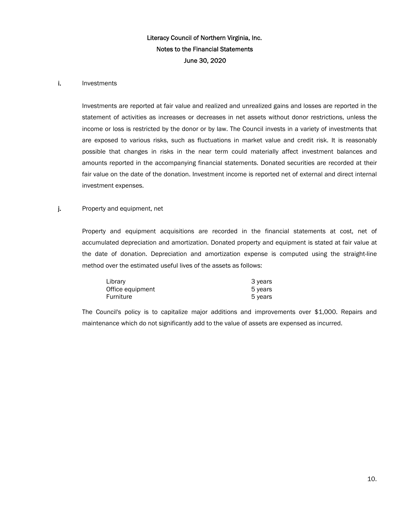#### i. Investments

Investments are reported at fair value and realized and unrealized gains and losses are reported in the statement of activities as increases or decreases in net assets without donor restrictions, unless the income or loss is restricted by the donor or by law. The Council invests in a variety of investments that are exposed to various risks, such as fluctuations in market value and credit risk. It is reasonably possible that changes in risks in the near term could materially affect investment balances and amounts reported in the accompanying financial statements. Donated securities are recorded at their fair value on the date of the donation. Investment income is reported net of external and direct internal investment expenses.

# j. Property and equipment, net

Property and equipment acquisitions are recorded in the financial statements at cost, net of accumulated depreciation and amortization. Donated property and equipment is stated at fair value at the date of donation. Depreciation and amortization expense is computed using the straight-line method over the estimated useful lives of the assets as follows:

| Library          | 3 years |
|------------------|---------|
| Office equipment | 5 years |
| Furniture        | 5 years |

The Council's policy is to capitalize major additions and improvements over \$1,000. Repairs and maintenance which do not significantly add to the value of assets are expensed as incurred.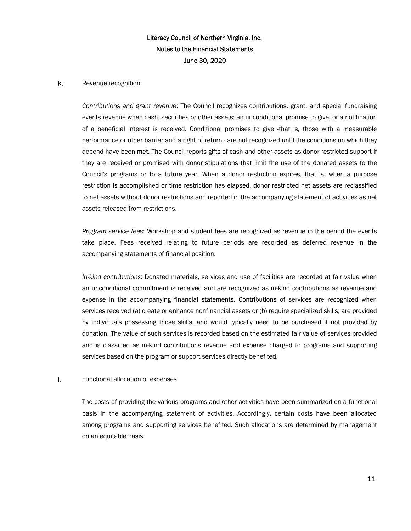#### k. Revenue recognition

*Contributions and grant revenue*: The Council recognizes contributions, grant, and special fundraising events revenue when cash, securities or other assets; an unconditional promise to give; or a notification of a beneficial interest is received. Conditional promises to give -that is, those with a measurable performance or other barrier and a right of return - are not recognized until the conditions on which they depend have been met. The Council reports gifts of cash and other assets as donor restricted support if they are received or promised with donor stipulations that limit the use of the donated assets to the Council's programs or to a future year. When a donor restriction expires, that is, when a purpose restriction is accomplished or time restriction has elapsed, donor restricted net assets are reclassified to net assets without donor restrictions and reported in the accompanying statement of activities as net assets released from restrictions.

*Program service fees*: Workshop and student fees are recognized as revenue in the period the events take place. Fees received relating to future periods are recorded as deferred revenue in the accompanying statements of financial position.

*In-kind contributions*: Donated materials, services and use of facilities are recorded at fair value when an unconditional commitment is received and are recognized as in-kind contributions as revenue and expense in the accompanying financial statements. Contributions of services are recognized when services received (a) create or enhance nonfinancial assets or (b) require specialized skills, are provided by individuals possessing those skills, and would typically need to be purchased if not provided by donation. The value of such services is recorded based on the estimated fair value of services provided and is classified as in-kind contributions revenue and expense charged to programs and supporting services based on the program or support services directly benefited.

#### l. Functional allocation of expenses

The costs of providing the various programs and other activities have been summarized on a functional basis in the accompanying statement of activities. Accordingly, certain costs have been allocated among programs and supporting services benefited. Such allocations are determined by management on an equitable basis.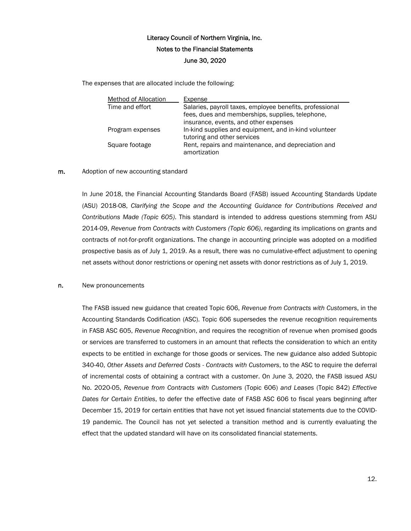The expenses that are allocated include the following:

| Method of Allocation | Expense                                                                                                      |
|----------------------|--------------------------------------------------------------------------------------------------------------|
| Time and effort      | Salaries, payroll taxes, employee benefits, professional<br>fees, dues and memberships, supplies, telephone, |
|                      | insurance, events, and other expenses                                                                        |
| Program expenses     | In-kind supplies and equipment, and in-kind volunteer<br>tutoring and other services                         |
| Square footage       | Rent, repairs and maintenance, and depreciation and<br>amortization                                          |

### m. Adoption of new accounting standard

In June 2018, the Financial Accounting Standards Board (FASB) issued Accounting Standards Update (ASU) 2018-08, *Clarifying the Scope and the Accounting Guidance for Contributions Received and Contributions Made (Topic 605)*. This standard is intended to address questions stemming from ASU 2014-09, *Revenue from Contracts with Customers (Topic 606)*, regarding its implications on grants and contracts of not-for-profit organizations. The change in accounting principle was adopted on a modified prospective basis as of July 1, 2019. As a result, there was no cumulative-effect adjustment to opening net assets without donor restrictions or opening net assets with donor restrictions as of July 1, 2019.

#### n. New pronouncements

The FASB issued new guidance that created Topic 606, *Revenue from Contracts with Customers*, in the Accounting Standards Codification (ASC). Topic 606 supersedes the revenue recognition requirements in FASB ASC 605, *Revenue Recognition*, and requires the recognition of revenue when promised goods or services are transferred to customers in an amount that reflects the consideration to which an entity expects to be entitled in exchange for those goods or services. The new guidance also added Subtopic 340-40, *Other Assets and Deferred Costs - Contracts with Customers*, to the ASC to require the deferral of incremental costs of obtaining a contract with a customer. On June 3, 2020, the FASB issued ASU No. 2020-05, *Revenue from Contracts with Customers* (Topic 606) *and Leases* (Topic 842) *Effective Dates for Certain Entities*, to defer the effective date of FASB ASC 606 to fiscal years beginning after December 15, 2019 for certain entities that have not yet issued financial statements due to the COVID-19 pandemic. The Council has not yet selected a transition method and is currently evaluating the effect that the updated standard will have on its consolidated financial statements.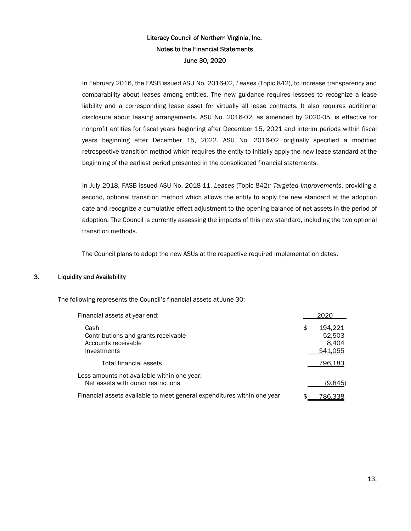In February 2016, the FASB issued ASU No. 2016-02, *Leases* (Topic 842), to increase transparency and comparability about leases among entities. The new guidance requires lessees to recognize a lease liability and a corresponding lease asset for virtually all lease contracts. It also requires additional disclosure about leasing arrangements. ASU No. 2016-02, as amended by 2020-05, is effective for nonprofit entities for fiscal years beginning after December 15, 2021 and interim periods within fiscal years beginning after December 15, 2022. ASU No. 2016-02 originally specified a modified retrospective transition method which requires the entity to initially apply the new lease standard at the beginning of the earliest period presented in the consolidated financial statements.

In July 2018, FASB issued ASU No. 2018-11, *Leases* (Topic 842)*: Targeted Improvements*, providing a second, optional transition method which allows the entity to apply the new standard at the adoption date and recognize a cumulative effect adjustment to the opening balance of net assets in the period of adoption. The Council is currently assessing the impacts of this new standard, including the two optional transition methods.

The Council plans to adopt the new ASUs at the respective required implementation dates.

# 3. Liquidity and Availability

The following represents the Council's financial assets at June 30:

| Financial assets at year end:                                                     | 2020                                        |
|-----------------------------------------------------------------------------------|---------------------------------------------|
| Cash<br>Contributions and grants receivable<br>Accounts receivable<br>Investments | \$<br>194.221<br>52,503<br>8.404<br>541,055 |
| Total financial assets                                                            | 796,183                                     |
| Less amounts not available within one year:<br>Net assets with donor restrictions | (9.845)                                     |
| Financial assets available to meet general expenditures within one year           | 786.338                                     |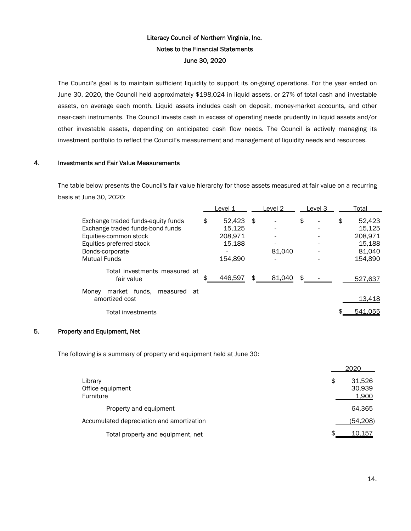The Council's goal is to maintain sufficient liquidity to support its on-going operations. For the year ended on June 30, 2020, the Council held approximately \$198,024 in liquid assets, or 27% of total cash and investable assets, on average each month. Liquid assets includes cash on deposit, money-market accounts, and other near-cash instruments. The Council invests cash in excess of operating needs prudently in liquid assets and/or other investable assets, depending on anticipated cash flow needs. The Council is actively managing its investment portfolio to reflect the Council's measurement and management of liquidity needs and resources.

## 4. Investments and Fair Value Measurements

The table below presents the Council's fair value hierarchy for those assets measured at fair value on a recurring basis at June 30, 2020:

|                                                         | Level 1      | Level 2      | Level 3                        | Total        |
|---------------------------------------------------------|--------------|--------------|--------------------------------|--------------|
| Exchange traded funds-equity funds                      | \$<br>52,423 | -\$          | \$<br>$\overline{\phantom{0}}$ | \$<br>52,423 |
| Exchange traded funds-bond funds                        | 15.125       |              | ٠                              | 15.125       |
| Equities-common stock                                   | 208.971      |              |                                | 208.971      |
| Equities-preferred stock                                | 15.188       |              |                                | 15.188       |
| Bonds-corporate                                         |              | 81,040       |                                | 81,040       |
| <b>Mutual Funds</b>                                     | 154.890      |              |                                | 154.890      |
| Total investments measured at<br>fair value             | 446,597      | 81,040<br>\$ | \$.                            | 527,637      |
| market funds.<br>Monev<br>measured at<br>amortized cost |              |              |                                | 13,418       |
| Total investments                                       |              |              |                                | 541,055      |

# 5. Property and Equipment, Net

The following is a summary of property and equipment held at June 30:

|                                           | 2020                            |
|-------------------------------------------|---------------------------------|
| Library<br>Office equipment<br>Furniture  | \$<br>31,526<br>30,939<br>1,900 |
| Property and equipment                    | 64,365                          |
| Accumulated depreciation and amortization | (54, 208)                       |
| Total property and equipment, net         | \$<br>10.157                    |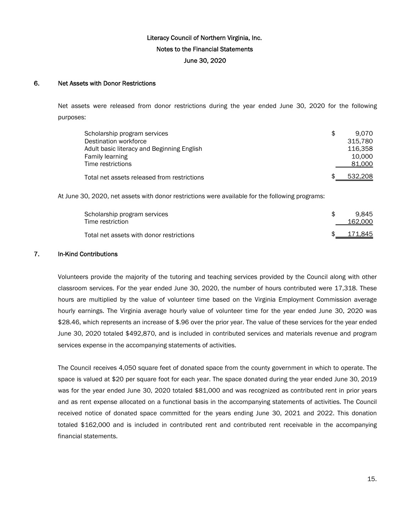## 6. Net Assets with Donor Restrictions

Net assets were released from donor restrictions during the year ended June 30, 2020 for the following purposes:

| Scholarship program services                | \$<br>9.070 |
|---------------------------------------------|-------------|
| Destination workforce                       | 315.780     |
| Adult basic literacy and Beginning English  | 116.358     |
| Family learning                             | 10.000      |
| Time restrictions                           | 81,000      |
| Total net assets released from restrictions | 532.208     |

At June 30, 2020, net assets with donor restrictions were available for the following programs:

| Scholarship program services<br>Time restriction | 9.845<br>162,000 |
|--------------------------------------------------|------------------|
| Total net assets with donor restrictions         | 171,845          |

## 7. In-Kind Contributions

Volunteers provide the majority of the tutoring and teaching services provided by the Council along with other classroom services. For the year ended June 30, 2020, the number of hours contributed were 17,318. These hours are multiplied by the value of volunteer time based on the Virginia Employment Commission average hourly earnings. The Virginia average hourly value of volunteer time for the year ended June 30, 2020 was \$28.46, which represents an increase of \$.96 over the prior year. The value of these services for the year ended June 30, 2020 totaled \$492,870, and is included in contributed services and materials revenue and program services expense in the accompanying statements of activities.

The Council receives 4,050 square feet of donated space from the county government in which to operate. The space is valued at \$20 per square foot for each year. The space donated during the year ended June 30, 2019 was for the year ended June 30, 2020 totaled \$81,000 and was recognized as contributed rent in prior years and as rent expense allocated on a functional basis in the accompanying statements of activities. The Council received notice of donated space committed for the years ending June 30, 2021 and 2022. This donation totaled \$162,000 and is included in contributed rent and contributed rent receivable in the accompanying financial statements.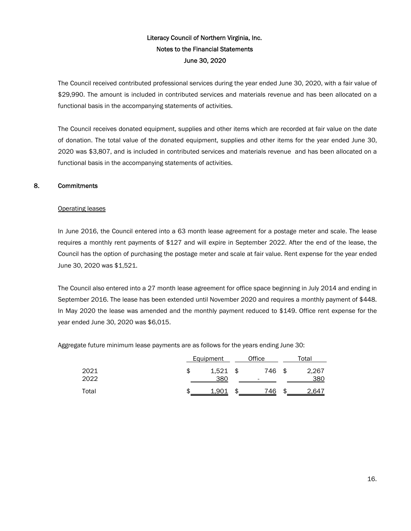The Council received contributed professional services during the year ended June 30, 2020, with a fair value of \$29,990. The amount is included in contributed services and materials revenue and has been allocated on a functional basis in the accompanying statements of activities.

The Council receives donated equipment, supplies and other items which are recorded at fair value on the date of donation. The total value of the donated equipment, supplies and other items for the year ended June 30, 2020 was \$3,807, and is included in contributed services and materials revenue and has been allocated on a functional basis in the accompanying statements of activities.

# 8. Commitments

# Operating leases

In June 2016, the Council entered into a 63 month lease agreement for a postage meter and scale. The lease requires a monthly rent payments of \$127 and will expire in September 2022. After the end of the lease, the Council has the option of purchasing the postage meter and scale at fair value. Rent expense for the year ended June 30, 2020 was \$1,521.

The Council also entered into a 27 month lease agreement for office space beginning in July 2014 and ending in September 2016. The lease has been extended until November 2020 and requires a monthly payment of \$448. In May 2020 the lease was amended and the monthly payment reduced to \$149. Office rent expense for the year ended June 30, 2020 was \$6,015.

Aggregate future minimum lease payments are as follows for the years ending June 30:

|              | <b>Equipment</b> |              |      | Office   | Total |              |  |
|--------------|------------------|--------------|------|----------|-------|--------------|--|
| 2021<br>2022 |                  | 1,521<br>380 | - \$ | 746<br>- | \$    | 2,267<br>380 |  |
| Total        |                  | 1.901        |      | 746      | £.    | 2.647        |  |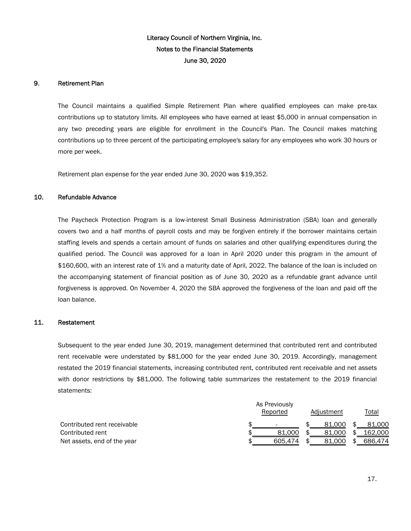## 9. Retirement Plan

The Council maintains a qualified Simple Retirement Plan where qualified employees can make pre-tax contributions up to statutory limits. All employees who have earned at least \$5,000 in annual compensation in any two preceding years are eligible for enrollment in the Council's Plan. The Council makes matching contributions up to three percent of the participating employee's salary for any employees who work 30 hours or more per week.

Retirement plan expense for the year ended June 30, 2020 was \$19,352.

# 10. Refundable Advance

The Paycheck Protection Program is a low-interest Small Business Administration (SBA) loan and generally covers two and a half months of payroll costs and may be forgiven entirely if the borrower maintains certain staffing levels and spends a certain amount of funds on salaries and other qualifying expenditures during the qualified period. The Council was approved for a loan in April 2020 under this program in the amount of \$160,600, with an interest rate of 1% and a maturity date of April, 2022. The balance of the loan is included on the accompanying statement of financial position as of June 30, 2020 as a refundable grant advance until forgiveness is approved. On November 4, 2020 the SBA approved the forgiveness of the loan and paid off the loan balance.

#### 11. Restatement

Subsequent to the year ended June 30, 2019, management determined that contributed rent and contributed rent receivable were understated by \$81,000 for the year ended June 30, 2019. Accordingly, management restated the 2019 financial statements, increasing contributed rent, contributed rent receivable and net assets with donor restrictions by \$81,000. The following table summarizes the restatement to the 2019 financial statements:

|                             | As Previously |  |            |  |         |  |
|-----------------------------|---------------|--|------------|--|---------|--|
|                             | Reported      |  | Adjustment |  | Total   |  |
| Contributed rent receivable |               |  | 81.000     |  | 81.000  |  |
| Contributed rent            | 81.000        |  | 81.000     |  | 162,000 |  |
| Net assets, end of the year | 605.474       |  | 81.000     |  | 686.474 |  |